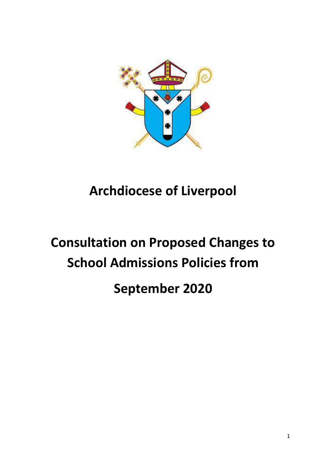

# **Archdiocese of Liverpool**

# **Consultation on Proposed Changes to School Admissions Policies from September 2020**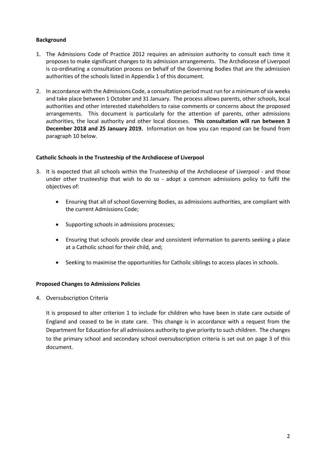# **Background**

- 1. The Admissions Code of Practice 2012 requires an admission authority to consult each time it proposes to make significant changes to its admission arrangements. The Archdiocese of Liverpool is co-ordinating a consultation process on behalf of the Governing Bodies that are the admission authorities of the schools listed in Appendix 1 of this document.
- 2. In accordance with the Admissions Code, a consultation period must run for a minimum of six weeks and take place between 1 October and 31 January. The process allows parents, other schools, local authorities and other interested stakeholders to raise comments or concerns about the proposed arrangements. This document is particularly for the attention of parents, other admissions authorities, the local authority and other local dioceses. **This consultation will run between 3 December 2018 and 25 January 2019.** Information on how you can respond can be found from paragraph 10 below.

# **Catholic Schools in the Trusteeship of the Archdiocese of Liverpool**

- 3. It is expected that all schools within the Trusteeship of the Archdiocese of Liverpool and those under other trusteeship that wish to do so - adopt a common admissions policy to fulfil the objectives of:
	- Ensuring that all of school Governing Bodies, as admissions authorities, are compliant with the current Admissions Code;
	- Supporting schools in admissions processes;
	- Ensuring that schools provide clear and consistent information to parents seeking a place at a Catholic school for their child, and;
	- Seeking to maximise the opportunities for Catholic siblings to access places in schools.

# **Proposed Changes to Admissions Policies**

4. Oversubscription Criteria

It is proposed to alter criterion 1 to include for children who have been in state care outside of England and ceased to be in state care. This change is in accordance with a request from the Department for Education for all admissions authority to give priority to such children. The changes to the primary school and secondary school oversubscription criteria is set out on page 3 of this document.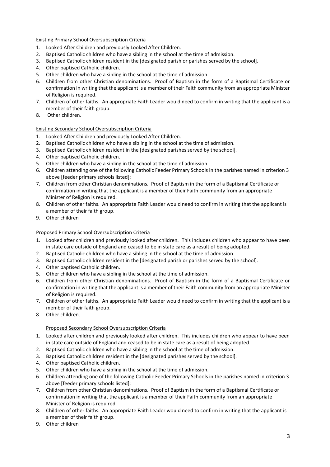# Existing Primary School Oversubscription Criteria

- 1. Looked After Children and previously Looked After Children.
- 2. Baptised Catholic children who have a sibling in the school at the time of admission.
- 3. Baptised Catholic children resident in the [designated parish or parishes served by the school].
- 4. Other baptised Catholic children.
- 5. Other children who have a sibling in the school at the time of admission.
- 6. Children from other Christian denominations. Proof of Baptism in the form of a Baptismal Certificate or confirmation in writing that the applicant is a member of their Faith community from an appropriate Minister of Religion is required.
- 7. Children of other faiths. An appropriate Faith Leader would need to confirm in writing that the applicant is a member of their faith group.
- 8. Other children.

# Existing Secondary School Oversubscription Criteria

- 1. Looked After Children and previously Looked After Children.
- 2. Baptised Catholic children who have a sibling in the school at the time of admission.
- 3. Baptised Catholic children resident in the [designated parishes served by the school].
- 4. Other baptised Catholic children.
- 5. Other children who have a sibling in the school at the time of admission.
- 6. Children attending one of the following Catholic Feeder Primary Schools in the parishes named in criterion 3 above [feeder primary schools listed]:
- 7. Children from other Christian denominations. Proof of Baptism in the form of a Baptismal Certificate or confirmation in writing that the applicant is a member of their Faith community from an appropriate Minister of Religion is required.
- 8. Children of other faiths. An appropriate Faith Leader would need to confirm in writing that the applicant is a member of their faith group.
- 9. Other children

#### Proposed Primary School Oversubscription Criteria

- 1. Looked after children and previously looked after children. This includes children who appear to have been in state care outside of England and ceased to be in state care as a result of being adopted.
- 2. Baptised Catholic children who have a sibling in the school at the time of admission.
- 3. Baptised Catholic children resident in the [designated parish or parishes served by the school].
- 4. Other baptised Catholic children.
- 5. Other children who have a sibling in the school at the time of admission.
- 6. Children from other Christian denominations. Proof of Baptism in the form of a Baptismal Certificate or confirmation in writing that the applicant is a member of their Faith community from an appropriate Minister of Religion is required.
- 7. Children of other faiths. An appropriate Faith Leader would need to confirm in writing that the applicant is a member of their faith group.
- 8. Other children.

# Proposed Secondary School Oversubscription Criteria

- 1. Looked after children and previously looked after children. This includes children who appear to have been in state care outside of England and ceased to be in state care as a result of being adopted.
- 2. Baptised Catholic children who have a sibling in the school at the time of admission.
- 3. Baptised Catholic children resident in the [designated parishes served by the school].
- 4. Other baptised Catholic children.
- 5. Other children who have a sibling in the school at the time of admission.
- 6. Children attending one of the following Catholic Feeder Primary Schools in the parishes named in criterion 3 above [feeder primary schools listed]:
- 7. Children from other Christian denominations. Proof of Baptism in the form of a Baptismal Certificate or confirmation in writing that the applicant is a member of their Faith community from an appropriate Minister of Religion is required.
- 8. Children of other faiths. An appropriate Faith Leader would need to confirm in writing that the applicant is a member of their faith group.
- 9. Other children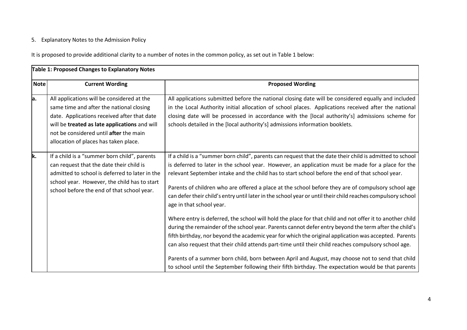# 5. Explanatory Notes to the Admission Policy

It is proposed to provide additional clarity to a number of notes in the common policy, as set out in Table 1 below:

| Table 1: Proposed Changes to Explanatory Notes |                                                                                                                                                                                                                                                                           |                                                                                                                                                                                                                                                                                                                                                                                                                                                                                                                                                                                                                                               |  |
|------------------------------------------------|---------------------------------------------------------------------------------------------------------------------------------------------------------------------------------------------------------------------------------------------------------------------------|-----------------------------------------------------------------------------------------------------------------------------------------------------------------------------------------------------------------------------------------------------------------------------------------------------------------------------------------------------------------------------------------------------------------------------------------------------------------------------------------------------------------------------------------------------------------------------------------------------------------------------------------------|--|
| <b>Note</b>                                    | <b>Current Wording</b>                                                                                                                                                                                                                                                    | <b>Proposed Wording</b>                                                                                                                                                                                                                                                                                                                                                                                                                                                                                                                                                                                                                       |  |
| a.                                             | All applications will be considered at the<br>same time and after the national closing<br>date. Applications received after that date<br>will be treated as late applications and will<br>not be considered until after the main<br>allocation of places has taken place. | All applications submitted before the national closing date will be considered equally and included<br>in the Local Authority initial allocation of school places. Applications received after the national<br>closing date will be processed in accordance with the [local authority's] admissions scheme for<br>schools detailed in the [local authority's] admissions information booklets.                                                                                                                                                                                                                                                |  |
| k.                                             | If a child is a "summer born child", parents<br>can request that the date their child is<br>admitted to school is deferred to later in the<br>school year. However, the child has to start<br>school before the end of that school year.                                  | If a child is a "summer born child", parents can request that the date their child is admitted to school<br>is deferred to later in the school year. However, an application must be made for a place for the<br>relevant September intake and the child has to start school before the end of that school year.<br>Parents of children who are offered a place at the school before they are of compulsory school age<br>can defer their child's entry until later in the school year or until their child reaches compulsory school<br>age in that school year.                                                                             |  |
|                                                |                                                                                                                                                                                                                                                                           | Where entry is deferred, the school will hold the place for that child and not offer it to another child<br>during the remainder of the school year. Parents cannot defer entry beyond the term after the child's<br>fifth birthday, nor beyond the academic year for which the original application was accepted. Parents<br>can also request that their child attends part-time until their child reaches compulsory school age.<br>Parents of a summer born child, born between April and August, may choose not to send that child<br>to school until the September following their fifth birthday. The expectation would be that parents |  |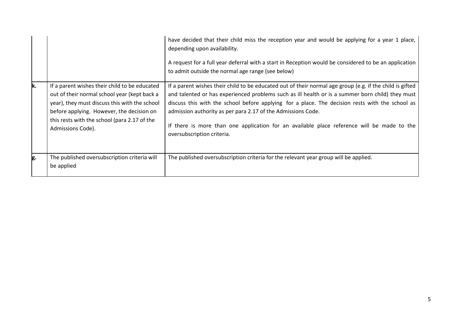|    |                                                                                                                                                                                                                                                                  | have decided that their child miss the reception year and would be applying for a year 1 place,<br>depending upon availability.<br>A request for a full year deferral with a start in Reception would be considered to be an application<br>to admit outside the normal age range (see below)                                                                                                                                                                                                               |
|----|------------------------------------------------------------------------------------------------------------------------------------------------------------------------------------------------------------------------------------------------------------------|-------------------------------------------------------------------------------------------------------------------------------------------------------------------------------------------------------------------------------------------------------------------------------------------------------------------------------------------------------------------------------------------------------------------------------------------------------------------------------------------------------------|
| k. | If a parent wishes their child to be educated<br>out of their normal school year (kept back a<br>year), they must discuss this with the school<br>before applying. However, the decision on<br>this rests with the school (para 2.17 of the<br>Admissions Code). | If a parent wishes their child to be educated out of their normal age group (e.g. if the child is gifted<br>and talented or has experienced problems such as ill health or is a summer born child) they must<br>discuss this with the school before applying for a place. The decision rests with the school as<br>admission authority as per para 2.17 of the Admissions Code.<br>If there is more than one application for an available place reference will be made to the<br>oversubscription criteria. |
| g. | The published oversubscription criteria will<br>be applied                                                                                                                                                                                                       | The published oversubscription criteria for the relevant year group will be applied.                                                                                                                                                                                                                                                                                                                                                                                                                        |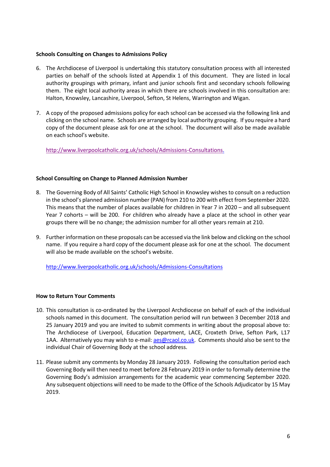# **Schools Consulting on Changes to Admissions Policy**

- 6. The Archdiocese of Liverpool is undertaking this statutory consultation process with all interested parties on behalf of the schools listed at Appendix 1 of this document. They are listed in local authority groupings with primary, infant and junior schools first and secondary schools following them. The eight local authority areas in which there are schools involved in this consultation are: Halton, Knowsley, Lancashire, Liverpool, Sefton, St Helens, Warrington and Wigan.
- 7. A copy of the proposed admissions policy for each school can be accessed via the following link and clicking on the school name. Schools are arranged by local authority grouping. If you require a hard copy of the document please ask for one at the school. The document will also be made available on each school's website.

[http://www.liverpoolcatholic.org.uk/schools/Admissions-Consultations.](http://www.liverpoolcatholic.org.uk/schools/Admissions-Consultations)

# **School Consulting on Change to Planned Admission Number**

- 8. The Governing Body of All Saints' Catholic High School in Knowsley wishes to consult on a reduction in the school's planned admission number (PAN) from 210 to 200 with effect from September 2020. This means that the number of places available for children in Year 7 in 2020 – and all subsequent Year 7 cohorts – will be 200. For children who already have a place at the school in other year groups there will be no change; the admission number for all other years remain at 210.
- 9. Further information on these proposals can be accessed via the link below and clicking on the school name. If you require a hard copy of the document please ask for one at the school. The document will also be made available on the school's website.

<http://www.liverpoolcatholic.org.uk/schools/Admissions-Consultations>

# **How to Return Your Comments**

- 10. This consultation is co-ordinated by the Liverpool Archdiocese on behalf of each of the individual schools named in this document. The consultation period will run between 3 December 2018 and 25 January 2019 and you are invited to submit comments in writing about the proposal above to: The Archdiocese of Liverpool, Education Department, LACE, Croxteth Drive, Sefton Park, L17 1AA. Alternatively you may wish to e-mail[: aes@rcaol.co.uk.](mailto:aes@rcaol.co.uk) Comments should also be sent to the individual Chair of Governing Body at the school address.
- 11. Please submit any comments by Monday 28 January 2019. Following the consultation period each Governing Body will then need to meet before 28 February 2019 in order to formally determine the Governing Body's admission arrangements for the academic year commencing September 2020. Any subsequent objections will need to be made to the Office of the Schools Adjudicator by 15 May 2019.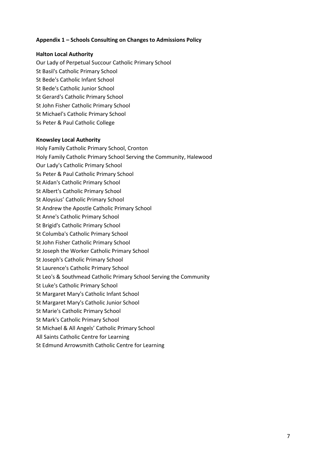# **Appendix 1 – Schools Consulting on Changes to Admissions Policy**

# **Halton Local Authority**

Our Lady of Perpetual Succour Catholic Primary School St Basil's Catholic Primary School St Bede's Catholic Infant School St Bede's Catholic Junior School St Gerard's Catholic Primary School St John Fisher Catholic Primary School St Michael's Catholic Primary School Ss Peter & Paul Catholic College

# **Knowsley Local Authority**

Holy Family Catholic Primary School, Cronton Holy Family Catholic Primary School Serving the Community, Halewood Our Lady's Catholic Primary School Ss Peter & Paul Catholic Primary School St Aidan's Catholic Primary School St Albert's Catholic Primary School St Aloysius' Catholic Primary School St Andrew the Apostle Catholic Primary School St Anne's Catholic Primary School St Brigid's Catholic Primary School St Columba's Catholic Primary School St John Fisher Catholic Primary School St Joseph the Worker Catholic Primary School St Joseph's Catholic Primary School St Laurence's Catholic Primary School St Leo's & Southmead Catholic Primary School Serving the Community St Luke's Catholic Primary School St Margaret Mary's Catholic Infant School St Margaret Mary's Catholic Junior School St Marie's Catholic Primary School St Mark's Catholic Primary School St Michael & All Angels' Catholic Primary School All Saints Catholic Centre for Learning St Edmund Arrowsmith Catholic Centre for Learning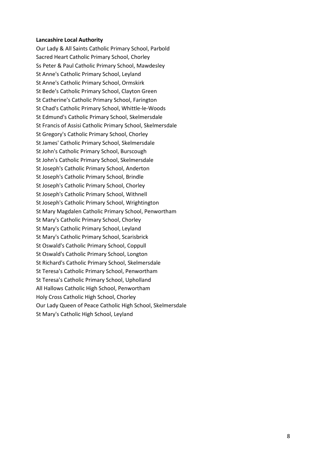#### **Lancashire Local Authority**

Our Lady & All Saints Catholic Primary School, Parbold Sacred Heart Catholic Primary School, Chorley Ss Peter & Paul Catholic Primary School, Mawdesley St Anne's Catholic Primary School, Leyland St Anne's Catholic Primary School, Ormskirk St Bede's Catholic Primary School, Clayton Green St Catherine's Catholic Primary School, Farington St Chad's Catholic Primary School, Whittle-le-Woods St Edmund's Catholic Primary School, Skelmersdale St Francis of Assisi Catholic Primary School, Skelmersdale St Gregory's Catholic Primary School, Chorley St James' Catholic Primary School, Skelmersdale St John's Catholic Primary School, Burscough St John's Catholic Primary School, Skelmersdale St Joseph's Catholic Primary School, Anderton St Joseph's Catholic Primary School, Brindle St Joseph's Catholic Primary School, Chorley St Joseph's Catholic Primary School, Withnell St Joseph's Catholic Primary School, Wrightington St Mary Magdalen Catholic Primary School, Penwortham St Mary's Catholic Primary School, Chorley St Mary's Catholic Primary School, Leyland St Mary's Catholic Primary School, Scarisbrick St Oswald's Catholic Primary School, Coppull St Oswald's Catholic Primary School, Longton St Richard's Catholic Primary School, Skelmersdale St Teresa's Catholic Primary School, Penwortham St Teresa's Catholic Primary School, Upholland All Hallows Catholic High School, Penwortham Holy Cross Catholic High School, Chorley Our Lady Queen of Peace Catholic High School, Skelmersdale St Mary's Catholic High School, Leyland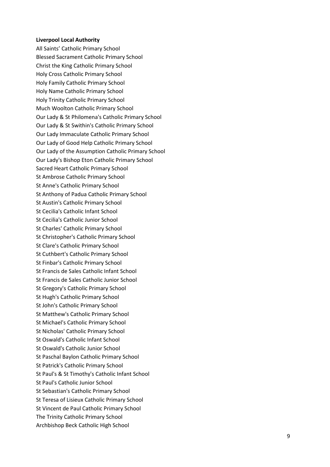#### **Liverpool Local Authority**

All Saints' Catholic Primary School Blessed Sacrament Catholic Primary School Christ the King Catholic Primary School Holy Cross Catholic Primary School Holy Family Catholic Primary School Holy Name Catholic Primary School Holy Trinity Catholic Primary School Much Woolton Catholic Primary School Our Lady & St Philomena's Catholic Primary School Our Lady & St Swithin's Catholic Primary School Our Lady Immaculate Catholic Primary School Our Lady of Good Help Catholic Primary School Our Lady of the Assumption Catholic Primary School Our Lady's Bishop Eton Catholic Primary School Sacred Heart Catholic Primary School St Ambrose Catholic Primary School St Anne's Catholic Primary School St Anthony of Padua Catholic Primary School St Austin's Catholic Primary School St Cecilia's Catholic Infant School St Cecilia's Catholic Junior School St Charles' Catholic Primary School St Christopher's Catholic Primary School St Clare's Catholic Primary School St Cuthbert's Catholic Primary School St Finbar's Catholic Primary School St Francis de Sales Catholic Infant School St Francis de Sales Catholic Junior School St Gregory's Catholic Primary School St Hugh's Catholic Primary School St John's Catholic Primary School St Matthew's Catholic Primary School St Michael's Catholic Primary School St Nicholas' Catholic Primary School St Oswald's Catholic Infant School St Oswald's Catholic Junior School St Paschal Baylon Catholic Primary School St Patrick's Catholic Primary School St Paul's & St Timothy's Catholic Infant School St Paul's Catholic Junior School St Sebastian's Catholic Primary School St Teresa of Lisieux Catholic Primary School St Vincent de Paul Catholic Primary School The Trinity Catholic Primary School Archbishop Beck Catholic High School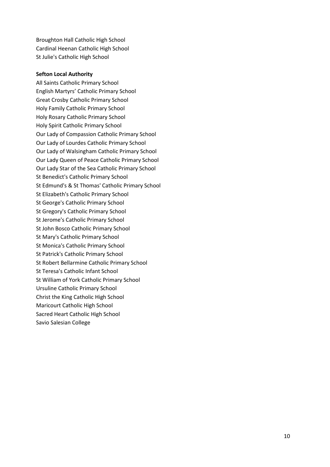Broughton Hall Catholic High School Cardinal Heenan Catholic High School St Julie's Catholic High School

#### **Sefton Local Authority**

All Saints Catholic Primary School English Martyrs' Catholic Primary School Great Crosby Catholic Primary School Holy Family Catholic Primary School Holy Rosary Catholic Primary School Holy Spirit Catholic Primary School Our Lady of Compassion Catholic Primary School Our Lady of Lourdes Catholic Primary School Our Lady of Walsingham Catholic Primary School Our Lady Queen of Peace Catholic Primary School Our Lady Star of the Sea Catholic Primary School St Benedict's Catholic Primary School St Edmund's & St Thomas' Catholic Primary School St Elizabeth's Catholic Primary School St George's Catholic Primary School St Gregory's Catholic Primary School St Jerome's Catholic Primary School St John Bosco Catholic Primary School St Mary's Catholic Primary School St Monica's Catholic Primary School St Patrick's Catholic Primary School St Robert Bellarmine Catholic Primary School St Teresa's Catholic Infant School St William of York Catholic Primary School Ursuline Catholic Primary School Christ the King Catholic High School Maricourt Catholic High School Sacred Heart Catholic High School Savio Salesian College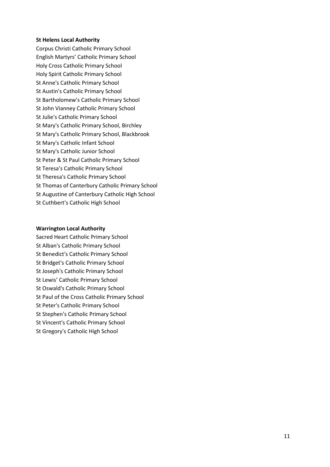# **St Helens Local Authority**

Corpus Christi Catholic Primary School English Martyrs' Catholic Primary School Holy Cross Catholic Primary School Holy Spirit Catholic Primary School St Anne's Catholic Primary School St Austin's Catholic Primary School St Bartholomew's Catholic Primary School St John Vianney Catholic Primary School St Julie's Catholic Primary School St Mary's Catholic Primary School, Birchley St Mary's Catholic Primary School, Blackbrook St Mary's Catholic Infant School St Mary's Catholic Junior School St Peter & St Paul Catholic Primary School St Teresa's Catholic Primary School St Theresa's Catholic Primary School St Thomas of Canterbury Catholic Primary School St Augustine of Canterbury Catholic High School St Cuthbert's Catholic High School

#### **Warrington Local Authority**

Sacred Heart Catholic Primary School St Alban's Catholic Primary School St Benedict's Catholic Primary School St Bridget's Catholic Primary School St Joseph's Catholic Primary School St Lewis' Catholic Primary School St Oswald's Catholic Primary School St Paul of the Cross Catholic Primary School St Peter's Catholic Primary School St Stephen's Catholic Primary School St Vincent's Catholic Primary School St Gregory's Catholic High School